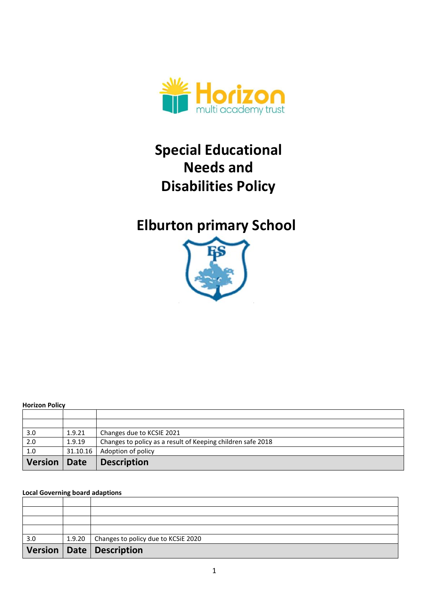

# **Special Educational Needs and Disabilities Policy**

# **Elburton primary School**



#### **Horizon Policy**

| 3.0            | 1.9.21       | Changes due to KCSIE 2021                                   |
|----------------|--------------|-------------------------------------------------------------|
| 2.0            | 1.9.19       | Changes to policy as a result of Keeping children safe 2018 |
| 1.0            | 31.10.16     | Adoption of policy                                          |
| <b>Version</b> | $\vert$ Date | <b>Description</b>                                          |

#### **Local Governing board adaptions**

| 3.0 | 1.9.20   Changes to policy due to KCSiE 2020 |
|-----|----------------------------------------------|
|     | Version   Date   Description                 |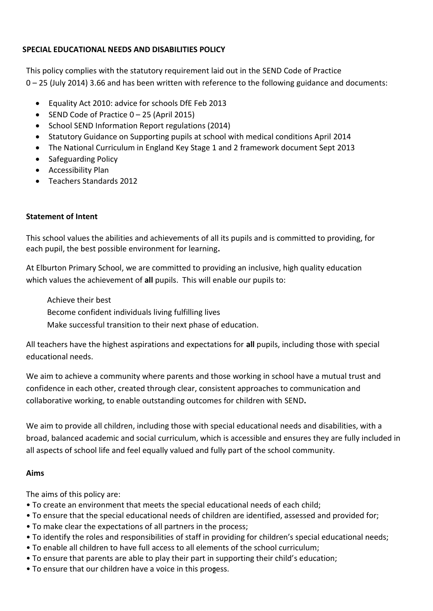### **SPECIAL EDUCATIONAL NEEDS AND DISABILITIES POLICY**

This policy complies with the statutory requirement laid out in the SEND Code of Practice 0 – 25 (July 2014) 3.66 and has been written with reference to the following guidance and documents:

- Equality Act 2010: advice for schools DfE Feb 2013
- SEND Code of Practice  $0 25$  (April 2015)
- School SEND Information Report regulations (2014)
- Statutory Guidance on Supporting pupils at school with medical conditions April 2014
- The National Curriculum in England Key Stage 1 and 2 framework document Sept 2013
- Safeguarding Policy
- Accessibility Plan
- Teachers Standards 2012

#### **Statement of Intent**

This school values the abilities and achievements of all its pupils and is committed to providing, for each pupil, the best possible environment for learning**.**

At Elburton Primary School, we are committed to providing an inclusive, high quality education which values the achievement of **all** pupils. This will enable our pupils to:

Achieve their best

Become confident individuals living fulfilling lives

Make successful transition to their next phase of education.

All teachers have the highest aspirations and expectations for **all** pupils, including those with special educational needs.

We aim to achieve a community where parents and those working in school have a mutual trust and confidence in each other, created through clear, consistent approaches to communication and collaborative working, to enable outstanding outcomes for children with SEND**.**

We aim to provide all children, including those with special educational needs and disabilities, with a broad, balanced academic and social curriculum, which is accessible and ensures they are fully included in all aspects of school life and feel equally valued and fully part of the school community.

#### **Aims**

The aims of this policy are:

- To create an environment that meets the special educational needs of each child;
- To ensure that the special educational needs of children are identified, assessed and provided for;
- To make clear the expectations of all partners in the process;
- To identify the roles and responsibilities of staff in providing for children's special educational needs;
- To enable all children to have full access to all elements of the school curriculum;
- To ensure that parents are able to play their part in supporting their child's education;
- To ensure that our children have a voice in this progess.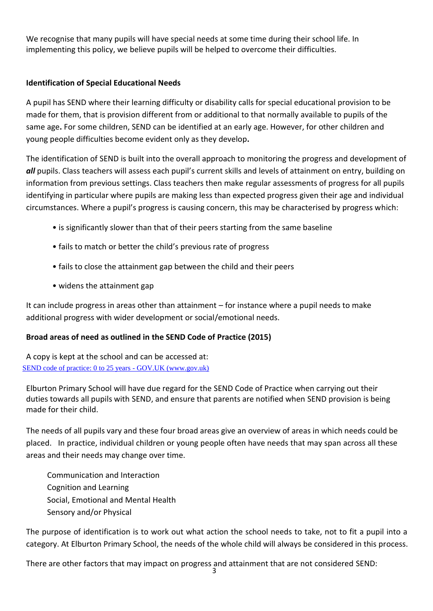We recognise that many pupils will have special needs at some time during their school life. In implementing this policy, we believe pupils will be helped to overcome their difficulties.

# **Identification of Special Educational Needs**

A pupil has SEND where their learning difficulty or disability calls for special educational provision to be made for them, that is provision different from or additional to that normally available to pupils of the same age**.** For some children, SEND can be identified at an early age. However, for other children and young people difficulties become evident only as they develop**.**

The identification of SEND is built into the overall approach to monitoring the progress and development of *all* pupils. Class teachers will assess each pupil's current skills and levels of attainment on entry, building on information from previous settings. Class teachers then make regular assessments of progress for all pupils identifying in particular where pupils are making less than expected progress given their age and individual circumstances. Where a pupil's progress is causing concern, this may be characterised by progress which:

- is significantly slower than that of their peers starting from the same baseline
- fails to match or better the child's previous rate of progress
- fails to close the attainment gap between the child and their peers
- widens the attainment gap

It can include progress in areas other than attainment – for instance where a pupil needs to make additional progress with wider development or social/emotional needs.

## **Broad areas of need as outlined in the SEND Code of Practice (2015)**

A copy is kept at the school and can be accessed at: [SEND code of practice: 0 to 25 years -](https://www.gov.uk/government/publications/send-code-of-practice-0-to-25) GOV.UK (www.gov.uk)

Elburton Primary School will have due regard for the SEND Code of Practice when carrying out their duties towards all pupils with SEND, and ensure that parents are notified when SEND provision is being made for their child.

The needs of all pupils vary and these four broad areas give an overview of areas in which needs could be placed. In practice, individual children or young people often have needs that may span across all these areas and their needs may change over time.

 Communication and Interaction Cognition and Learning Social, Emotional and Mental Health Sensory and/or Physical

The purpose of identification is to work out what action the school needs to take, not to fit a pupil into a category. At Elburton Primary School, the needs of the whole child will always be considered in this process.

There are other factors that may impact on progress and attainment that are not considered SEND: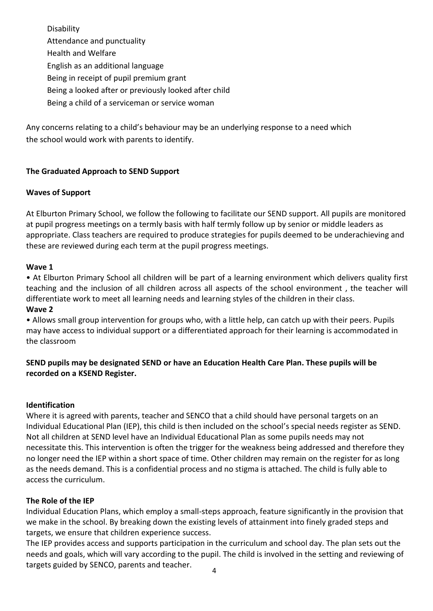Disability Attendance and punctuality Health and Welfare English as an additional language Being in receipt of pupil premium grant Being a looked after or previously looked after child

Being a child of a serviceman or service woman

Any concerns relating to a child's behaviour may be an underlying response to a need which the school would work with parents to identify.

# **The Graduated Approach to SEND Support**

## **Waves of Support**

At Elburton Primary School, we follow the following to facilitate our SEND support. All pupils are monitored at pupil progress meetings on a termly basis with half termly follow up by senior or middle leaders as appropriate. Class teachers are required to produce strategies for pupils deemed to be underachieving and these are reviewed during each term at the pupil progress meetings.

## **Wave 1**

• At Elburton Primary School all children will be part of a learning environment which delivers quality first teaching and the inclusion of all children across all aspects of the school environment , the teacher will differentiate work to meet all learning needs and learning styles of the children in their class.

#### **Wave 2**

• Allows small group intervention for groups who, with a little help, can catch up with their peers. Pupils may have access to individual support or a differentiated approach for their learning is accommodated in the classroom

# **SEND pupils may be designated SEND or have an Education Health Care Plan. These pupils will be recorded on a KSEND Register.**

## **Identification**

Where it is agreed with parents, teacher and SENCO that a child should have personal targets on an Individual Educational Plan (IEP), this child is then included on the school's special needs register as SEND. Not all children at SEND level have an Individual Educational Plan as some pupils needs may not necessitate this. This intervention is often the trigger for the weakness being addressed and therefore they no longer need the IEP within a short space of time. Other children may remain on the register for as long as the needs demand. This is a confidential process and no stigma is attached. The child is fully able to access the curriculum.

## **The Role of the IEP**

Individual Education Plans, which employ a small-steps approach, feature significantly in the provision that we make in the school. By breaking down the existing levels of attainment into finely graded steps and targets, we ensure that children experience success.

The IEP provides access and supports participation in the curriculum and school day. The plan sets out the needs and goals, which will vary according to the pupil. The child is involved in the setting and reviewing of targets guided by SENCO, parents and teacher.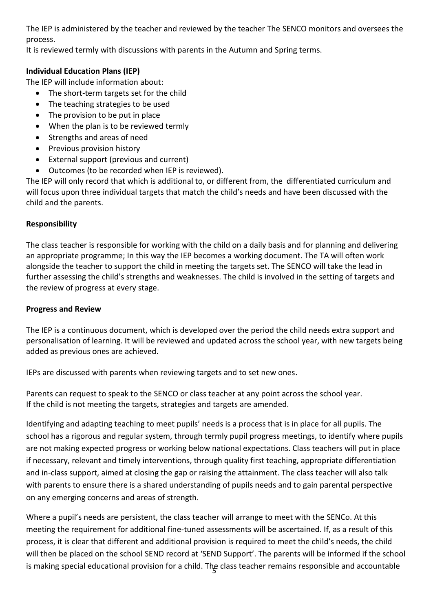The IEP is administered by the teacher and reviewed by the teacher The SENCO monitors and oversees the process.

It is reviewed termly with discussions with parents in the Autumn and Spring terms.

# **Individual Education Plans (IEP)**

The IEP will include information about:

- The short-term targets set for the child
- The teaching strategies to be used
- The provision to be put in place
- When the plan is to be reviewed termly
- Strengths and areas of need
- Previous provision history
- External support (previous and current)
- Outcomes (to be recorded when IEP is reviewed).

The IEP will only record that which is additional to, or different from, the differentiated curriculum and will focus upon three individual targets that match the child's needs and have been discussed with the child and the parents.

# **Responsibility**

The class teacher is responsible for working with the child on a daily basis and for planning and delivering an appropriate programme; In this way the IEP becomes a working document. The TA will often work alongside the teacher to support the child in meeting the targets set. The SENCO will take the lead in further assessing the child's strengths and weaknesses. The child is involved in the setting of targets and the review of progress at every stage.

## **Progress and Review**

The IEP is a continuous document, which is developed over the period the child needs extra support and personalisation of learning. It will be reviewed and updated across the school year, with new targets being added as previous ones are achieved.

IEPs are discussed with parents when reviewing targets and to set new ones.

Parents can request to speak to the SENCO or class teacher at any point across the school year. If the child is not meeting the targets, strategies and targets are amended.

Identifying and adapting teaching to meet pupils' needs is a process that is in place for all pupils. The school has a rigorous and regular system, through termly pupil progress meetings, to identify where pupils are not making expected progress or working below national expectations. Class teachers will put in place if necessary, relevant and timely interventions, through quality first teaching, appropriate differentiation and in-class support, aimed at closing the gap or raising the attainment. The class teacher will also talk with parents to ensure there is a shared understanding of pupils needs and to gain parental perspective on any emerging concerns and areas of strength.

is making special educational provision for a child. The class teacher remains responsible and accountable Where a pupil's needs are persistent, the class teacher will arrange to meet with the SENCo. At this meeting the requirement for additional fine-tuned assessments will be ascertained. If, as a result of this process, it is clear that different and additional provision is required to meet the child's needs, the child will then be placed on the school SEND record at 'SEND Support'. The parents will be informed if the school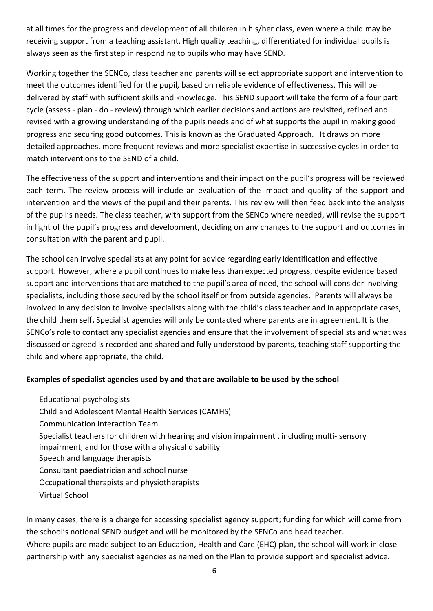at all times for the progress and development of all children in his/her class, even where a child may be receiving support from a teaching assistant. High quality teaching, differentiated for individual pupils is always seen as the first step in responding to pupils who may have SEND.

Working together the SENCo, class teacher and parents will select appropriate support and intervention to meet the outcomes identified for the pupil, based on reliable evidence of effectiveness. This will be delivered by staff with sufficient skills and knowledge. This SEND support will take the form of a four part cycle (assess - plan - do - review) through which earlier decisions and actions are revisited, refined and revised with a growing understanding of the pupils needs and of what supports the pupil in making good progress and securing good outcomes. This is known as the Graduated Approach. It draws on more detailed approaches, more frequent reviews and more specialist expertise in successive cycles in order to match interventions to the SEND of a child.

The effectiveness of the support and interventions and their impact on the pupil's progress will be reviewed each term. The review process will include an evaluation of the impact and quality of the support and intervention and the views of the pupil and their parents. This review will then feed back into the analysis of the pupil's needs. The class teacher, with support from the SENCo where needed, will revise the support in light of the pupil's progress and development, deciding on any changes to the support and outcomes in consultation with the parent and pupil.

The school can involve specialists at any point for advice regarding early identification and effective support. However, where a pupil continues to make less than expected progress, despite evidence based support and interventions that are matched to the pupil's area of need, the school will consider involving specialists, including those secured by the school itself or from outside agencies**.** Parents will always be involved in any decision to involve specialists along with the child's class teacher and in appropriate cases, the child them self**.** Specialist agencies will only be contacted where parents are in agreement. It is the SENCo's role to contact any specialist agencies and ensure that the involvement of specialists and what was discussed or agreed is recorded and shared and fully understood by parents, teaching staff supporting the child and where appropriate, the child.

## **Examples of specialist agencies used by and that are available to be used by the school**

Educational psychologists Child and Adolescent Mental Health Services (CAMHS) Communication Interaction Team Specialist teachers for children with hearing and vision impairment , including multi- sensory impairment, and for those with a physical disability Speech and language therapists Consultant paediatrician and school nurse Occupational therapists and physiotherapists Virtual School

In many cases, there is a charge for accessing specialist agency support; funding for which will come from the school's notional SEND budget and will be monitored by the SENCo and head teacher. Where pupils are made subject to an Education, Health and Care (EHC) plan, the school will work in close partnership with any specialist agencies as named on the Plan to provide support and specialist advice.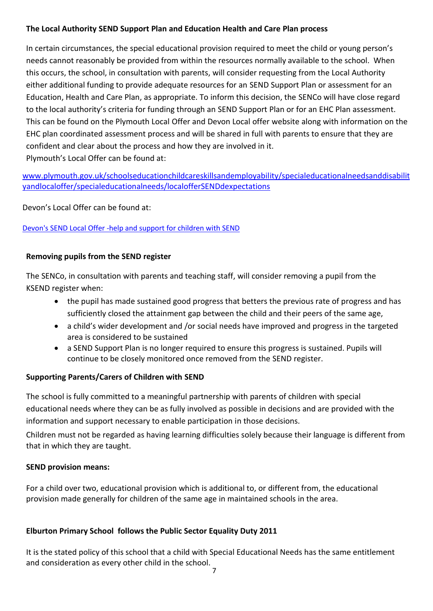## **The Local Authority SEND Support Plan and Education Health and Care Plan process**

In certain circumstances, the special educational provision required to meet the child or young person's needs cannot reasonably be provided from within the resources normally available to the school. When this occurs, the school, in consultation with parents, will consider requesting from the Local Authority either additional funding to provide adequate resources for an SEND Support Plan or assessment for an Education, Health and Care Plan, as appropriate. To inform this decision, the SENCo will have close regard to the local authority's criteria for funding through an SEND Support Plan or for an EHC Plan assessment. This can be found on the Plymouth Local Offer and Devon Local offer website along with information on the EHC plan coordinated assessment process and will be shared in full with parents to ensure that they are confident and clear about the process and how they are involved in it. Plymouth's Local Offer can be found at:

[www.plymouth.gov.uk/schoolseducationchildcareskillsandemployability/specialeducationalneedsanddisabilit](http://www.plymouth.gov.uk/schoolseducationchildcareskillsandemployability/specialeducationalneedsanddisabilityandlocaloffer/specialeducationalneeds/localofferSENDdexpectations) [yandlocaloffer/specialeducationalneeds/localofferSENDdexpectations](http://www.plymouth.gov.uk/schoolseducationchildcareskillsandemployability/specialeducationalneedsanddisabilityandlocaloffer/specialeducationalneeds/localofferSENDdexpectations)

Devon's Local Offer can be found at:

## [Devon's SEND Local Offer -help and support for children with SEND](https://www.devon.gov.uk/education-and-families/send-local-offer/)

# **Removing pupils from the SEND register**

The SENCo, in consultation with parents and teaching staff, will consider removing a pupil from the KSEND register when:

- the pupil has made sustained good progress that betters the previous rate of progress and has sufficiently closed the attainment gap between the child and their peers of the same age,
- a child's wider development and /or social needs have improved and progress in the targeted area is considered to be sustained
- a SEND Support Plan is no longer required to ensure this progress is sustained. Pupils will continue to be closely monitored once removed from the SEND register.

## **Supporting Parents/Carers of Children with SEND**

The school is fully committed to a meaningful partnership with parents of children with special educational needs where they can be as fully involved as possible in decisions and are provided with the information and support necessary to enable participation in those decisions.

Children must not be regarded as having learning difficulties solely because their language is different from that in which they are taught.

## **SEND provision means:**

For a child over two, educational provision which is additional to, or different from, the educational provision made generally for children of the same age in maintained schools in the area.

# **Elburton Primary School follows the Public Sector Equality Duty 2011**

It is the stated policy of this school that a child with Special Educational Needs has the same entitlement and consideration as every other child in the school.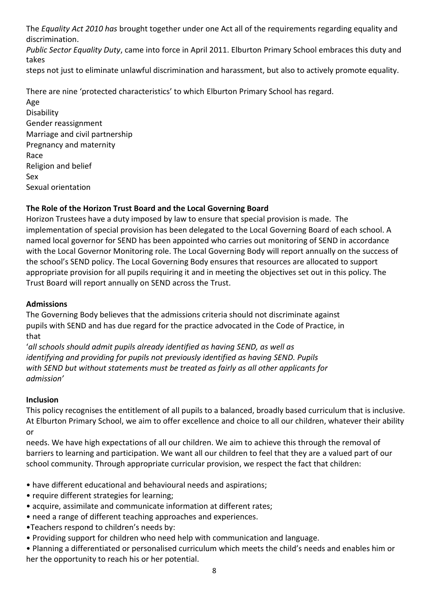The *Equality Act 2010 has* brought together under one Act all of the requirements regarding equality and discrimination.

*Public Sector Equality Duty*, came into force in April 2011. Elburton Primary School embraces this duty and takes

steps not just to eliminate unlawful discrimination and harassment, but also to actively promote equality.

There are nine 'protected characteristics' to which Elburton Primary School has regard.

Age **Disability** Gender reassignment Marriage and civil partnership Pregnancy and maternity Race Religion and belief Sex Sexual orientation

# **The Role of the Horizon Trust Board and the Local Governing Board**

Horizon Trustees have a duty imposed by law to ensure that special provision is made. The implementation of special provision has been delegated to the Local Governing Board of each school. A named local governor for SEND has been appointed who carries out monitoring of SEND in accordance with the Local Governor Monitoring role. The Local Governing Body will report annually on the success of the school's SEND policy. The Local Governing Body ensures that resources are allocated to support appropriate provision for all pupils requiring it and in meeting the objectives set out in this policy. The Trust Board will report annually on SEND across the Trust.

## **Admissions**

The Governing Body believes that the admissions criteria should not discriminate against pupils with SEND and has due regard for the practice advocated in the Code of Practice, in that

'*all schools should admit pupils already identified as having SEND, as well as identifying and providing for pupils not previously identified as having SEND. Pupils with SEND but without statements must be treated as fairly as all other applicants for admission'*

## **Inclusion**

This policy recognises the entitlement of all pupils to a balanced, broadly based curriculum that is inclusive. At Elburton Primary School, we aim to offer excellence and choice to all our children, whatever their ability or

needs. We have high expectations of all our children. We aim to achieve this through the removal of barriers to learning and participation. We want all our children to feel that they are a valued part of our school community. Through appropriate curricular provision, we respect the fact that children:

- have different educational and behavioural needs and aspirations;
- require different strategies for learning;
- acquire, assimilate and communicate information at different rates;
- need a range of different teaching approaches and experiences.
- •Teachers respond to children's needs by:
- Providing support for children who need help with communication and language.
- Planning a differentiated or personalised curriculum which meets the child's needs and enables him or her the opportunity to reach his or her potential.